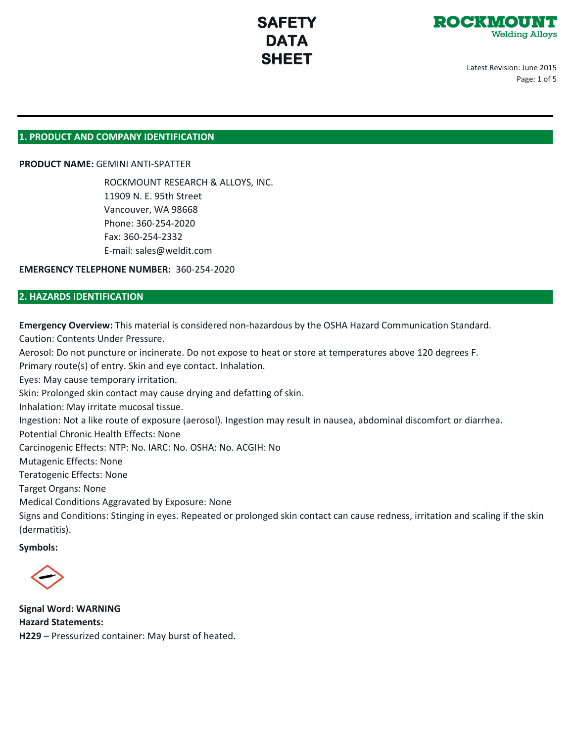

Latest Revision: June 2015 Page: 1 of 5

## **1. PRODUCT AND COMPANY IDENTIFICATION**

**PRODUCT NAME:** GEMINI ANTI-SPATTER

ROCKMOUNT RESEARCH & ALLOYS, INC. 11909 N. E. 95th Street Vancouver, WA 98668 Phone: 360-254-2020 Fax: 360-254-2332 E-mail: sales@weldit.com

**EMERGENCY TELEPHONE NUMBER:** 360-254-2020

## **2. HAZARDS IDENTIFICATION**

**Emergency Overview:** This material is considered non-hazardous by the OSHA Hazard Communication Standard. Caution: Contents Under Pressure.

Aerosol: Do not puncture or incinerate. Do not expose to heat or store at temperatures above 120 degrees F.

Primary route(s) of entry. Skin and eye contact. Inhalation.

Eyes: May cause temporary irritation.

Skin: Prolonged skin contact may cause drying and defatting of skin.

Inhalation: May irritate mucosal tissue.

Ingestion: Not a like route of exposure (aerosol). Ingestion may result in nausea, abdominal discomfort or diarrhea.

Potential Chronic Health Effects: None

Carcinogenic Effects: NTP: No. IARC: No. OSHA: No. ACGIH: No

Mutagenic Effects: None

Teratogenic Effects: None

Target Organs: None

Medical Conditions Aggravated by Exposure: None

Signs and Conditions: Stinging in eyes. Repeated or prolonged skin contact can cause redness, irritation and scaling if the skin (dermatitis).

**Symbols:**

**Signal Word: WARNING Hazard Statements: H229** – Pressurized container: May burst of heated.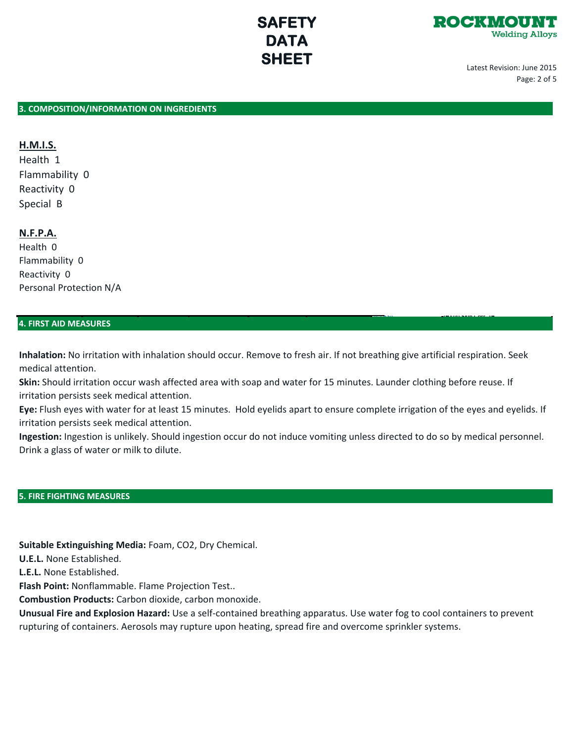# ROCKWOU **Welding Alloys**

 [\(C\) R34](https://en.wikipedia.org/wiki/File:Hazard_C.svg) **(H314) Skin Corr. 1B** 

Latest Revision: June 2015 Page: 2 of 5

## **3. COMPOSITION/INFORMATION ON INGREDIENTS**

# **H.M.I.S.**

Health 1 Flammability 0 Reactivity 0 Special B

# **N.F.P.A.**

Health 0 Flammability 0 Reactivity 0 Personal Protection N/A

## **4. FIRST AID MEASURES**

**Inhalation:** No irritation with inhalation should occur. Remove to fresh air. If not breathing give artificial respiration. Seek medical attention.

**SAFETY DATA SHEET**

**Skin:** Should irritation occur wash affected area with soap and water for 15 minutes. Launder clothing before reuse. If irritation persists seek medical attention.

**Eye:** Flush eyes with water for at least 15 minutes. Hold eyelids apart to ensure complete irrigation of the eyes and eyelids. If irritation persists seek medical attention.

**Ingestion:** Ingestion is unlikely. Should ingestion occur do not induce vomiting unless directed to do so by medical personnel. Drink a glass of water or milk to dilute.

# **5. FIRE FIGHTING MEASURES**

**Suitable Extinguishing Media:** Foam, CO2, Dry Chemical.

**U.E.L.** None Established.

**L.E.L.** None Established.

**Flash Point:** Nonflammable. Flame Projection Test..

**Combustion Products:** Carbon dioxide, carbon monoxide.

**Unusual Fire and Explosion Hazard:** Use a self-contained breathing apparatus. Use water fog to cool containers to prevent rupturing of containers. Aerosols may rupture upon heating, spread fire and overcome sprinkler systems.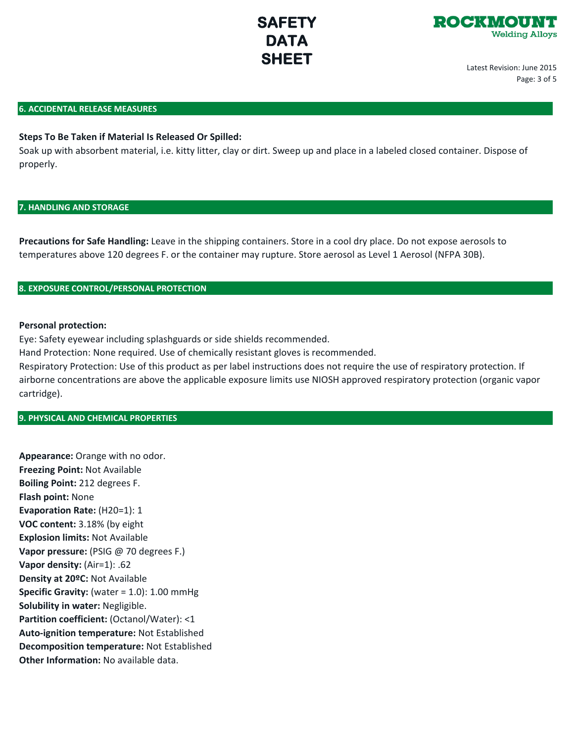

Latest Revision: June 2015 Page: 3 of 5

#### **6. ACCIDENTAL RELEASE MEASURES**

# **Steps To Be Taken if Material Is Released Or Spilled:**

Soak up with absorbent material, i.e. kitty litter, clay or dirt. Sweep up and place in a labeled closed container. Dispose of properly.

#### **7. HANDLING AND STORAGE**

**Precautions for Safe Handling:** Leave in the shipping containers. Store in a cool dry place. Do not expose aerosols to temperatures above 120 degrees F. or the container may rupture. Store aerosol as Level 1 Aerosol (NFPA 30B).

# **8. EXPOSURE CONTROL/PERSONAL PROTECTION**

#### **Personal protection:**

Eye: Safety eyewear including splashguards or side shields recommended.

Hand Protection: None required. Use of chemically resistant gloves is recommended.

Respiratory Protection: Use of this product as per label instructions does not require the use of respiratory protection. If airborne concentrations are above the applicable exposure limits use NIOSH approved respiratory protection (organic vapor cartridge).

#### **9. PHYSICAL AND CHEMICAL PROPERTIES**

**Appearance:** Orange with no odor. **Freezing Point:** Not Available **Boiling Point:** 212 degrees F. **Flash point:** None **Evaporation Rate:** (H20=1): 1 **VOC content:** 3.18% (by eight **Explosion limits:** Not Available **Vapor pressure:** (PSIG @ 70 degrees F.) **Vapor density:** (Air=1): .62 **Density at 20ºC:** Not Available **Specific Gravity:** (water = 1.0): 1.00 mmHg **Solubility in water:** Negligible. **Partition coefficient:** (Octanol/Water): <1 **Auto-ignition temperature:** Not Established **Decomposition temperature:** Not Established **Other Information:** No available data.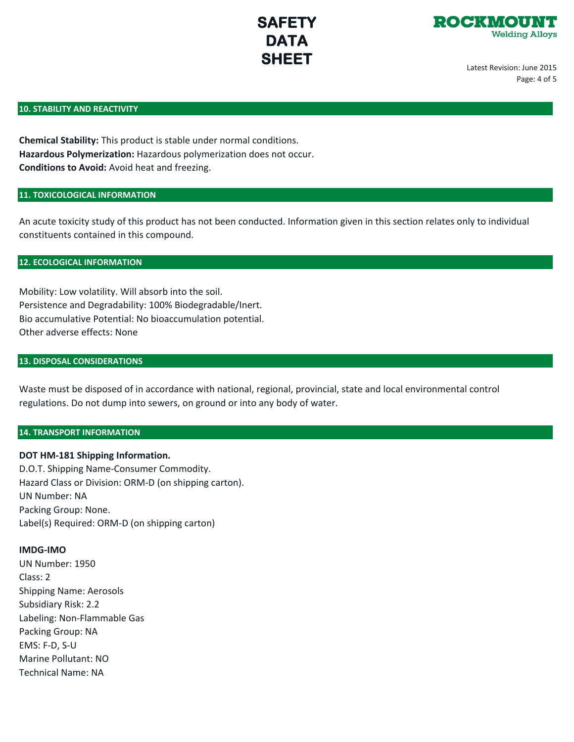

Latest Revision: June 2015 Page: 4 of 5

#### **10. STABILITY AND REACTIVITY**

**Chemical Stability:** This product is stable under normal conditions. **Hazardous Polymerization:** Hazardous polymerization does not occur. **Conditions to Avoid:** Avoid heat and freezing.

### **11. TOXICOLOGICAL INFORMATION**

An acute toxicity study of this product has not been conducted. Information given in this section relates only to individual constituents contained in this compound.

### **12. ECOLOGICAL INFORMATION**

Mobility: Low volatility. Will absorb into the soil. Persistence and Degradability: 100% Biodegradable/Inert. Bio accumulative Potential: No bioaccumulation potential. Other adverse effects: None

# **13. DISPOSAL CONSIDERATIONS**

Waste must be disposed of in accordance with national, regional, provincial, state and local environmental control regulations. Do not dump into sewers, on ground or into any body of water.

# **14. TRANSPORT INFORMATION**

**DOT HM-181 Shipping Information.** D.O.T. Shipping Name-Consumer Commodity. Hazard Class or Division: ORM-D (on shipping carton). UN Number: NA Packing Group: None. Label(s) Required: ORM-D (on shipping carton)

### **IMDG-IMO**

UN Number: 1950 Class: 2 Shipping Name: Aerosols Subsidiary Risk: 2.2 Labeling: Non-Flammable Gas Packing Group: NA EMS: F-D, S-U Marine Pollutant: NO Technical Name: NA